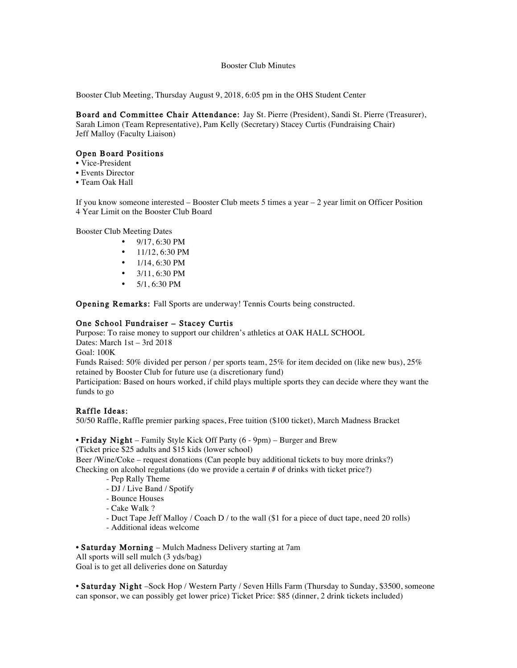#### Booster Club Minutes

Booster Club Meeting, Thursday August 9, 2018, 6:05 pm in the OHS Student Center

Board and Committee Chair Attendance: Jay St. Pierre (President), Sandi St. Pierre (Treasurer), Sarah Limon (Team Representative), Pam Kelly (Secretary) Stacey Curtis (Fundraising Chair) Jeff Malloy (Faculty Liaison)

### Open Board Positions

- Vice-President
- Events Director
- Team Oak Hall

If you know someone interested – Booster Club meets 5 times a year – 2 year limit on Officer Position 4 Year Limit on the Booster Club Board

Booster Club Meeting Dates

- $9/17, 6:30 \text{ PM}$
- $11/12$ , 6:30 PM
- $1/14, 6:30 \text{ PM}$
- 3/11, 6:30 PM
- $5/1, 6:30$  PM

Opening Remarks: Fall Sports are underway! Tennis Courts being constructed.

### One School Fundraiser – Stacey Curtis

Purpose: To raise money to support our children's athletics at OAK HALL SCHOOL Dates: March 1st – 3rd 2018

Goal: 100K

Funds Raised: 50% divided per person / per sports team, 25% for item decided on (like new bus), 25% retained by Booster Club for future use (a discretionary fund)

Participation: Based on hours worked, if child plays multiple sports they can decide where they want the funds to go

### Raffle Ideas:

50/50 Raffle, Raffle premier parking spaces, Free tuition (\$100 ticket), March Madness Bracket

• Friday Night – Family Style Kick Off Party (6 - 9pm) – Burger and Brew (Ticket price \$25 adults and \$15 kids (lower school) Beer /Wine/Coke – request donations (Can people buy additional tickets to buy more drinks?)

- Checking on alcohol regulations (do we provide a certain # of drinks with ticket price?)
	- Pep Rally Theme
	- DJ / Live Band / Spotify
	- Bounce Houses
	- Cake Walk ?
	- Duct Tape Jeff Malloy / Coach D / to the wall (\$1 for a piece of duct tape, need 20 rolls)
	- Additional ideas welcome

• Saturday Morning – Mulch Madness Delivery starting at 7am

All sports will sell mulch (3 yds/bag) Goal is to get all deliveries done on Saturday

• Saturday Night –Sock Hop / Western Party / Seven Hills Farm (Thursday to Sunday, \$3500, someone can sponsor, we can possibly get lower price) Ticket Price: \$85 (dinner, 2 drink tickets included)